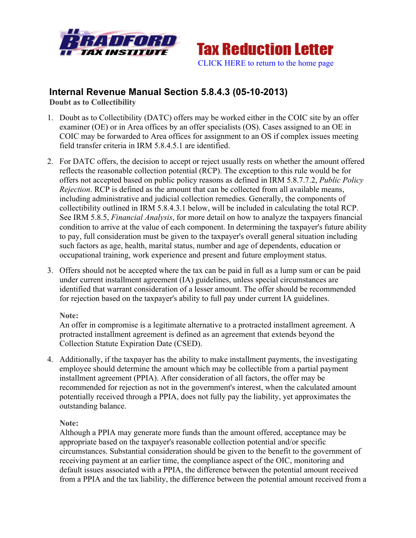



# **Internal Revenue Manual Section 5.8.4.3 (05-10-2013)**

**Doubt as to Collectibility**

- 1. Doubt as to Collectibility (DATC) offers may be worked either in the COIC site by an offer examiner (OE) or in Area offices by an offer specialists (OS). Cases assigned to an OE in COIC may be forwarded to Area offices for assignment to an OS if complex issues meeting field transfer criteria in IRM 5.8.4.5.1 are identified.
- 2. For DATC offers, the decision to accept or reject usually rests on whether the amount offered reflects the reasonable collection potential (RCP). The exception to this rule would be for offers not accepted based on public policy reasons as defined in IRM 5.8.7.7.2, *Public Policy Rejection*. RCP is defined as the amount that can be collected from all available means, including administrative and judicial collection remedies. Generally, the components of collectibility outlined in IRM 5.8.4.3.1 below, will be included in calculating the total RCP. See IRM 5.8.5, *Financial Analysis*, for more detail on how to analyze the taxpayers financial condition to arrive at the value of each component. In determining the taxpayer's future ability to pay, full consideration must be given to the taxpayer's overall general situation including such factors as age, health, marital status, number and age of dependents, education or occupational training, work experience and present and future employment status.
- 3. Offers should not be accepted where the tax can be paid in full as a lump sum or can be paid under current installment agreement (IA) guidelines, unless special circumstances are identified that warrant consideration of a lesser amount. The offer should be recommended for rejection based on the taxpayer's ability to full pay under current IA guidelines.

### **Note:**

An offer in compromise is a legitimate alternative to a protracted installment agreement. A protracted installment agreement is defined as an agreement that extends beyond the Collection Statute Expiration Date (CSED).

4. Additionally, if the taxpayer has the ability to make installment payments, the investigating employee should determine the amount which may be collectible from a partial payment installment agreement (PPIA). After consideration of all factors, the offer may be recommended for rejection as not in the government's interest, when the calculated amount potentially received through a PPIA, does not fully pay the liability, yet approximates the outstanding balance.

### **Note:**

Although a PPIA may generate more funds than the amount offered, acceptance may be appropriate based on the taxpayer's reasonable collection potential and/or specific circumstances. Substantial consideration should be given to the benefit to the government of receiving payment at an earlier time, the compliance aspect of the OIC, monitoring and default issues associated with a PPIA, the difference between the potential amount received from a PPIA and the tax liability, the difference between the potential amount received from a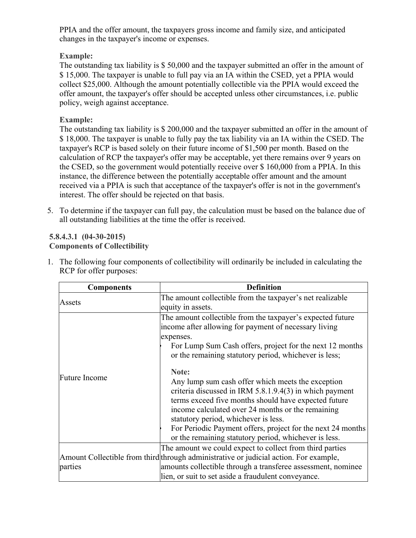PPIA and the offer amount, the taxpayers gross income and family size, and anticipated changes in the taxpayer's income or expenses.

# **Example:**

The outstanding tax liability is \$ 50,000 and the taxpayer submitted an offer in the amount of \$ 15,000. The taxpayer is unable to full pay via an IA within the CSED, yet a PPIA would collect \$25,000. Although the amount potentially collectible via the PPIA would exceed the offer amount, the taxpayer's offer should be accepted unless other circumstances, i.e. public policy, weigh against acceptance.

# **Example:**

The outstanding tax liability is \$ 200,000 and the taxpayer submitted an offer in the amount of \$ 18,000. The taxpayer is unable to fully pay the tax liability via an IA within the CSED. The taxpayer's RCP is based solely on their future income of \$1,500 per month. Based on the calculation of RCP the taxpayer's offer may be acceptable, yet there remains over 9 years on the CSED, so the government would potentially receive over \$ 160,000 from a PPIA. In this instance, the difference between the potentially acceptable offer amount and the amount received via a PPIA is such that acceptance of the taxpayer's offer is not in the government's interest. The offer should be rejected on that basis.

5. To determine if the taxpayer can full pay, the calculation must be based on the balance due of all outstanding liabilities at the time the offer is received.

#### **5.8.4.3.1 (04-30-2015) Components of Collectibility**

| <b>Components</b>    | <b>Definition</b>                                                                                                                                                                                                                                                                                                                                                                                    |
|----------------------|------------------------------------------------------------------------------------------------------------------------------------------------------------------------------------------------------------------------------------------------------------------------------------------------------------------------------------------------------------------------------------------------------|
| Assets               | The amount collectible from the taxpayer's net realizable                                                                                                                                                                                                                                                                                                                                            |
|                      | equity in assets.                                                                                                                                                                                                                                                                                                                                                                                    |
|                      | The amount collectible from the taxpayer's expected future                                                                                                                                                                                                                                                                                                                                           |
|                      | income after allowing for payment of necessary living                                                                                                                                                                                                                                                                                                                                                |
|                      | expenses.                                                                                                                                                                                                                                                                                                                                                                                            |
|                      | For Lump Sum Cash offers, project for the next 12 months                                                                                                                                                                                                                                                                                                                                             |
|                      | or the remaining statutory period, whichever is less;                                                                                                                                                                                                                                                                                                                                                |
| <b>Future Income</b> | Note:<br>Any lump sum cash offer which meets the exception<br>criteria discussed in IRM $5.8.1.9.4(3)$ in which payment<br>terms exceed five months should have expected future<br>income calculated over 24 months or the remaining<br>statutory period, whichever is less.<br>For Periodic Payment offers, project for the next 24 months<br>or the remaining statutory period, whichever is less. |
|                      | The amount we could expect to collect from third parties                                                                                                                                                                                                                                                                                                                                             |
|                      | Amount Collectible from third through administrative or judicial action. For example,                                                                                                                                                                                                                                                                                                                |
| parties              | amounts collectible through a transferee assessment, nominee                                                                                                                                                                                                                                                                                                                                         |
|                      | lien, or suit to set aside a fraudulent conveyance.                                                                                                                                                                                                                                                                                                                                                  |

1. The following four components of collectibility will ordinarily be included in calculating the RCP for offer purposes: